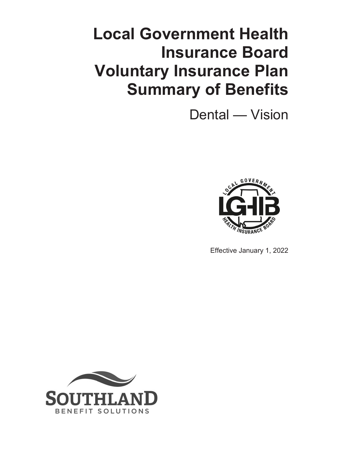# **Local Government Health Insurance Board Voluntary Insurance Plan Summary of Benefits**

Dental — Vision



Effective January 1, 2022

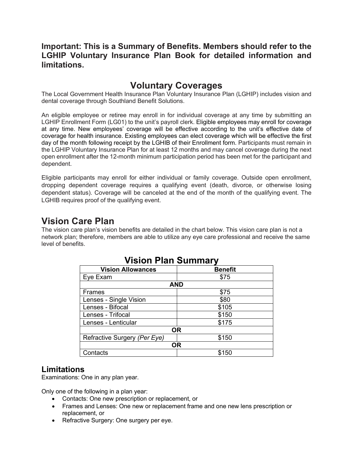#### **Important: This is a Summary of Benefits. Members should refer to the LGHIP Voluntary Insurance Plan Book for detailed information and limitations.**

# **Voluntary Coverages**

The Local Government Health Insurance Plan Voluntary Insurance Plan (LGHIP) includes vision and dental coverage through Southland Benefit Solutions.

An eligible employee or retiree may enroll in for individual coverage at any time by submitting an LGHIP Enrollment Form (LG01) to the unit's payroll clerk. Eligible employees may enroll for coverage at any time. New employees' coverage will be effective according to the unit's effective date of coverage for health insurance. Existing employees can elect coverage which will be effective the first day of the month following receipt by the LGHIB of their Enrollment form. Participants must remain in the LGHIP Voluntary Insurance Plan for at least 12 months and may cancel coverage during the next open enrollment after the 12-month minimum participation period has been met for the participant and dependent.

Eligible participants may enroll for either individual or family coverage. Outside open enrollment, dropping dependent coverage requires a qualifying event (death, divorce, or otherwise losing dependent status). Coverage will be canceled at the end of the month of the qualifying event. The LGHIB requires proof of the qualifying event.

## **Vision Care Plan**

The vision care plan's vision benefits are detailed in the chart below. This vision care plan is not a network plan; therefore, members are able to utilize any eye care professional and receive the same level of benefits.

| THE PUTTE OF PUTTER OF THE PUTTER OF THE PUTTER OF THE PUTTER OF THE PUTTER OF THE PUTTER OF THE PUT |                |  |
|------------------------------------------------------------------------------------------------------|----------------|--|
| <b>Vision Allowances</b>                                                                             | <b>Benefit</b> |  |
| Eye Exam                                                                                             | \$75           |  |
| <b>AND</b>                                                                                           |                |  |
| Frames                                                                                               | \$75           |  |
| Lenses - Single Vision                                                                               | \$80           |  |
| Lenses - Bifocal                                                                                     | \$105          |  |
| Lenses - Trifocal                                                                                    | \$150          |  |
| Lenses - Lenticular                                                                                  | \$175          |  |
| <b>OR</b>                                                                                            |                |  |
| Refractive Surgery (Per Eye)                                                                         | \$150          |  |
| ΟR                                                                                                   |                |  |
| Contacts                                                                                             | \$150          |  |

### **Vision Plan Summary**

#### **Limitations**

Examinations: One in any plan year.

Only one of the following in a plan year:

- Contacts: One new prescription or replacement, or
- Frames and Lenses: One new or replacement frame and one new lens prescription or replacement, or
- Refractive Surgery: One surgery per eye.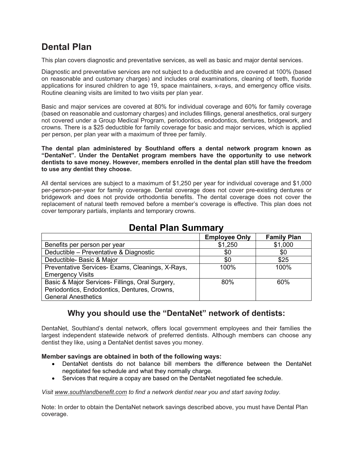# **Dental Plan**

This plan covers diagnostic and preventative services, as well as basic and major dental services.

Diagnostic and preventative services are not subject to a deductible and are covered at 100% (based on reasonable and customary charges) and includes oral examinations, cleaning of teeth, fluoride applications for insured children to age 19, space maintainers, x-rays, and emergency office visits. Routine cleaning visits are limited to two visits per plan year.

Basic and major services are covered at 80% for individual coverage and 60% for family coverage (based on reasonable and customary charges) and includes fillings, general anesthetics, oral surgery not covered under a Group Medical Program, periodontics, endodontics, dentures, bridgework, and crowns. There is a \$25 deductible for family coverage for basic and major services, which is applied per person, per plan year with a maximum of three per family.

**The dental plan administered by Southland offers a dental network program known as "DentaNet". Under the DentaNet program members have the opportunity to use network dentists to save money. However, members enrolled in the dental plan still have the freedom to use any dentist they choose.**

All dental services are subject to a maximum of \$1,250 per year for individual coverage and \$1,000 per-person-per-year for family coverage. Dental coverage does not cover pre-existing dentures or bridgework and does not provide orthodontia benefits. The dental coverage does not cover the replacement of natural teeth removed before a member's coverage is effective. This plan does not cover temporary partials, implants and temporary crowns.

|                                                  | <b>Employee Only</b> | <b>Family Plan</b> |
|--------------------------------------------------|----------------------|--------------------|
| Benefits per person per year                     | \$1,250              | \$1,000            |
| Deductible - Preventative & Diagnostic           | \$0                  | \$0                |
| Deductible- Basic & Major                        | \$0                  | \$25               |
| Preventative Services- Exams, Cleanings, X-Rays, | 100%                 | 100%               |
| <b>Emergency Visits</b>                          |                      |                    |
| Basic & Major Services- Fillings, Oral Surgery,  | 80%                  | 60%                |
| Periodontics, Endodontics, Dentures, Crowns,     |                      |                    |
| <b>General Anesthetics</b>                       |                      |                    |

## **Dental Plan Summary**

#### **Why you should use the "DentaNet" network of dentists:**

DentaNet, Southland's dental network, offers local government employees and their families the largest independent statewide network of preferred dentists. Although members can choose any dentist they like, using a DentaNet dentist saves you money.

#### **Member savings are obtained in both of the following ways:**

- DentaNet dentists do not balance bill members the difference between the DentaNet negotiated fee schedule and what they normally charge.
- Services that require a copay are based on the DentaNet negotiated fee schedule.

*Visit www.southlandbenefit.com to find a network dentist near you and start saving today.*

Note: In order to obtain the DentaNet network savings described above, you must have Dental Plan coverage.